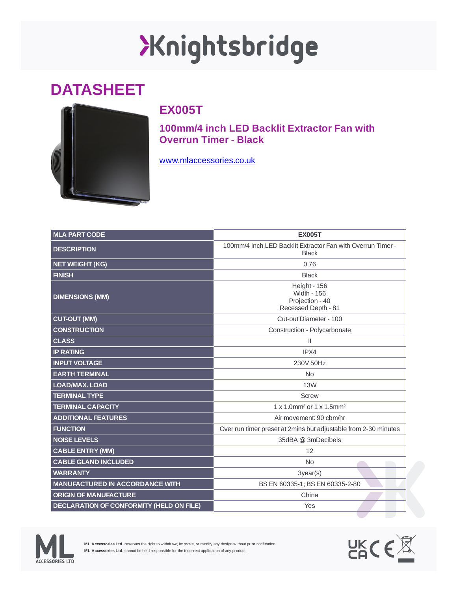## Xnightsbridge

## **DATASHEET**



## **EX005T**

**100mm/4 inch LED Backlit Extractor Fan with Overrun Timer - Black**

[www.mlaccessories.co.uk](https://www.mlaccessories.co.uk/)

| <b>MLA PART CODE</b>                            | <b>EX005T</b>                                                                |
|-------------------------------------------------|------------------------------------------------------------------------------|
| <b>DESCRIPTION</b>                              | 100mm/4 inch LED Backlit Extractor Fan with Overrun Timer -<br><b>Black</b>  |
| <b>NET WEIGHT (KG)</b>                          | 0.76                                                                         |
| <b>FINISH</b>                                   | <b>Black</b>                                                                 |
| <b>DIMENSIONS (MM)</b>                          | Height - 156<br><b>Width - 156</b><br>Projection - 40<br>Recessed Depth - 81 |
| <b>CUT-OUT (MM)</b>                             | Cut-out Diameter - 100                                                       |
| <b>CONSTRUCTION</b>                             | Construction - Polycarbonate                                                 |
| <b>CLASS</b>                                    | $\mathbf{H}$                                                                 |
| <b>IP RATING</b>                                | IPX4                                                                         |
| <b>INPUT VOLTAGE</b>                            | 230V 50Hz                                                                    |
| <b>EARTH TERMINAL</b>                           | <b>No</b>                                                                    |
| <b>LOAD/MAX. LOAD</b>                           | 13W                                                                          |
| <b>TERMINAL TYPE</b>                            | <b>Screw</b>                                                                 |
| <b>TERMINAL CAPACITY</b>                        | 1 x 1.0mm <sup>2</sup> or 1 x 1.5mm <sup>2</sup>                             |
| <b>ADDITIONAL FEATURES</b>                      | Air movement: 90 cbm/hr                                                      |
| <b>FUNCTION</b>                                 | Over run timer preset at 2mins but adjustable from 2-30 minutes              |
| <b>NOISE LEVELS</b>                             | 35dBA @ 3mDecibels                                                           |
| <b>CABLE ENTRY (MM)</b>                         | 12                                                                           |
| <b>CABLE GLAND INCLUDED</b>                     | N <sub>0</sub>                                                               |
| <b>WARRANTY</b>                                 | 3year(s)                                                                     |
| <b>MANUFACTURED IN ACCORDANCE WITH</b>          | BS EN 60335-1; BS EN 60335-2-80                                              |
| <b>ORIGIN OF MANUFACTURE</b>                    | China                                                                        |
| <b>DECLARATION OF CONFORMITY (HELD ON FILE)</b> | Yes                                                                          |



**ML Accessories Ltd.** reserves the right to withdraw, improve, or modify any design without prior notification. **ML Accessories Ltd.** cannot be held responsible for the incorrect application of any product.